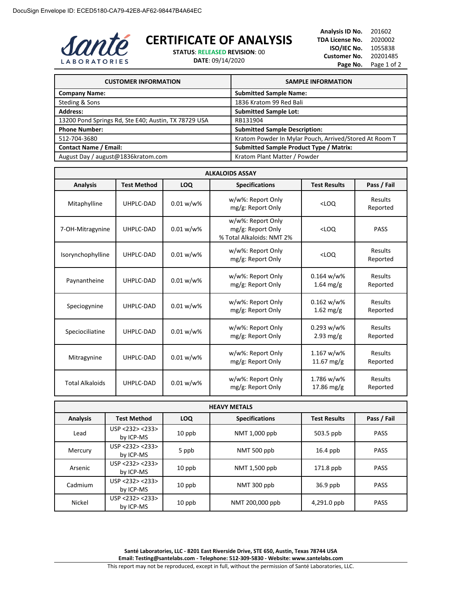

## **CERTIFICATE OF ANALYSIS**

**STATUS**: **RELEASED REVISION**: 00 **DATE**: 09/14/2020

**Analysis ID No.** 201602 **TDA License No.** 2020002 **ISO/IEC No.** 1055838 **Customer No.** 20201485 Page No. Page 1 of 2

| <b>CUSTOMER INFORMATION</b>                          | <b>SAMPLE INFORMATION</b>                              |
|------------------------------------------------------|--------------------------------------------------------|
| <b>Company Name:</b>                                 | <b>Submitted Sample Name:</b>                          |
| Steding & Sons                                       | 1836 Kratom 99 Red Bali                                |
| <b>Address:</b>                                      | <b>Submitted Sample Lot:</b>                           |
| 13200 Pond Springs Rd, Ste E40; Austin, TX 78729 USA | RB131904                                               |
| <b>Phone Number:</b>                                 | <b>Submitted Sample Description:</b>                   |
| 512-704-3680                                         | Kratom Powder In Mylar Pouch, Arrived/Stored At Room T |
| <b>Contact Name / Email:</b>                         | <b>Submitted Sample Product Type / Matrix:</b>         |
| August Day / august@1836kratom.com                   | Kratom Plant Matter / Powder                           |

| <b>ALKALOIDS ASSAY</b>                                                                              |           |              |                                                                     |                                       |                            |
|-----------------------------------------------------------------------------------------------------|-----------|--------------|---------------------------------------------------------------------|---------------------------------------|----------------------------|
| <b>LOQ</b><br><b>Specifications</b><br><b>Analysis</b><br><b>Test Method</b><br><b>Test Results</b> |           |              |                                                                     |                                       | Pass / Fail                |
| Mitaphylline                                                                                        | UHPLC-DAD | 0.01 w/w%    | w/w%: Report Only<br>mg/g: Report Only                              | $<$ LOO                               | Results<br>Reported        |
| 7-OH-Mitragynine                                                                                    | UHPLC-DAD | $0.01 w/w$ % | w/w%: Report Only<br>mg/g: Report Only<br>% Total Alkaloids: NMT 2% | $<$ LOO                               | <b>PASS</b>                |
| Isorynchophylline                                                                                   | UHPLC-DAD | 0.01 w/w%    | w/w%: Report Only<br>mg/g: Report Only                              | $<$ LOQ                               | <b>Results</b><br>Reported |
| Paynantheine                                                                                        | UHPLC-DAD | $0.01 w/w$ % | w/w%: Report Only<br>mg/g: Report Only                              | $0.164 w/w\%$<br>$1.64$ mg/g          | Results<br>Reported        |
| Speciogynine                                                                                        | UHPLC-DAD | $0.01 w/w$ % | w/w%: Report Only<br>mg/g: Report Only                              | $0.162 w/w$ %<br>$1.62 \text{ mg/g}$  | <b>Results</b><br>Reported |
| Speciociliatine                                                                                     | UHPLC-DAD | $0.01 w/w$ % | w/w%: Report Only<br>mg/g: Report Only                              | $0.293 w/w$ %<br>$2.93$ mg/g          | Results<br>Reported        |
| Mitragynine                                                                                         | UHPLC-DAD | $0.01 w/w$ % | w/w%: Report Only<br>mg/g: Report Only                              | 1.167 w/w%<br>11.67 mg/g              | Results<br>Reported        |
| <b>Total Alkaloids</b>                                                                              | UHPLC-DAD | $0.01 w/w$ % | w/w%: Report Only<br>mg/g: Report Only                              | 1.786 w/w%<br>$17.86 \,\mathrm{mg/g}$ | Results<br>Reported        |

| <b>HEAVY METALS</b> |                              |          |                       |                     |             |
|---------------------|------------------------------|----------|-----------------------|---------------------|-------------|
| <b>Analysis</b>     | <b>Test Method</b>           | LOQ      | <b>Specifications</b> | <b>Test Results</b> | Pass / Fail |
| Lead                | USP < 232 > 233<br>by ICP-MS | $10$ ppb | NMT 1,000 ppb         | 503.5 ppb           | <b>PASS</b> |
| Mercury             | USP < 232 > 233<br>by ICP-MS | 5 ppb    | NMT 500 ppb           | $16.4$ ppb          | <b>PASS</b> |
| Arsenic             | USP < 232 > 233<br>by ICP-MS | $10$ ppb | NMT 1,500 ppb         | $171.8$ ppb         | <b>PASS</b> |
| Cadmium             | USP < 232 > 233<br>by ICP-MS | $10$ ppb | NMT 300 ppb           | $36.9$ ppb          | <b>PASS</b> |
| Nickel              | USP <232> <233><br>by ICP-MS | $10$ ppb | NMT 200,000 ppb       | 4,291.0 ppb         | <b>PASS</b> |

**Santé Laboratories, LLC - 8201 East Riverside Drive, STE 650, Austin, Texas 78744 USA Email: Testing@santelabs.com - Telephone: 512-309-5830 - Website: www.santelabs.com**